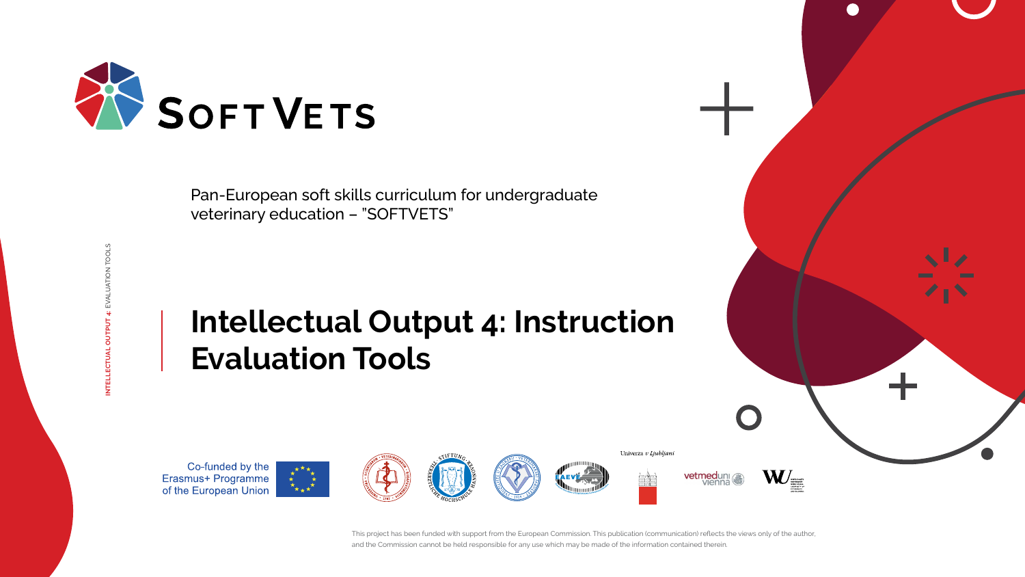This project has been funded with support from the European Commission. This publication (communication) reflects the views only of the author, and the Commission cannot be held responsible for any use which may be made of the information contained therein.

**INTELLECTUAL OUTPUT 4:** EVALUATION TOOLS















Pan-European soft skills curriculum for undergraduate veterinary education – "SOFTVETS"

# **Intellectual Output 4: Instruction Evaluation Tools**

Co-funded by the Erasmus+ Programme<br>of the European Union





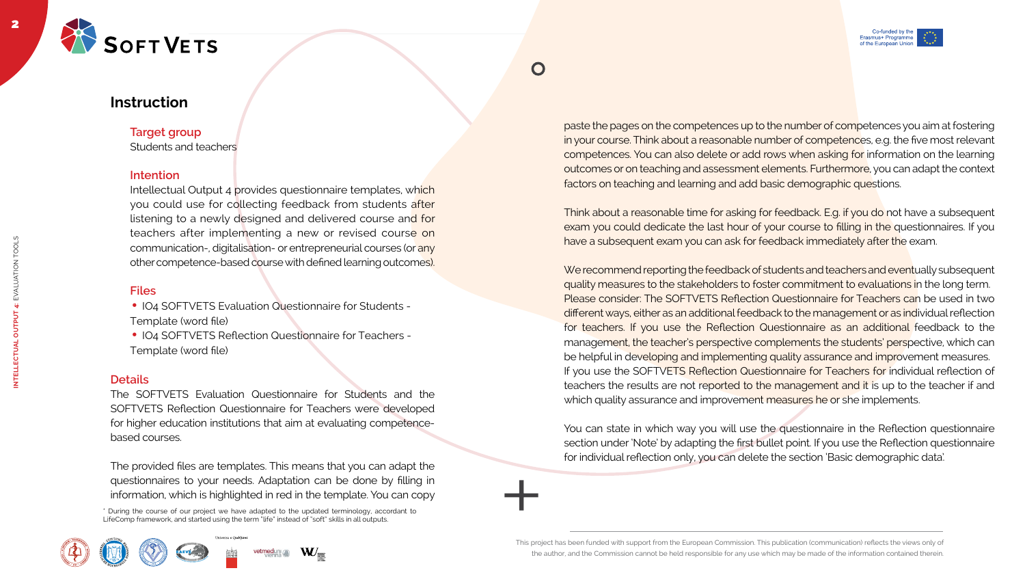This project has been funded with support from the European Commission. This publication (communication) reflects the views only of the author, and the Commission cannot be held responsible for any use which may be made of the information contained therein.









2



**INTELLECTUAL OUTPUT 4:** EVALUATION TOOLS

**OUTPUT** 

**INTELLECTUAL** 

EVALUATION TOOLS



## **Instruction**

**Target group** Students and teachers

#### **Intention**

- IO4 SOFTVETS Evaluation Questionnaire for Students -
- Template (word file)
- IO4 SOFTVETS Reflection Questionnaire for Teachers -
- Template (word file)

Intellectual Output 4 provides questionnaire templates, which you could use for collecting feedback from students after listening to a newly designed and delivered course and for teachers after implementing a new or revised course on communication-, digitalisation- or entrepreneurial courses (or any other competence-based course with defined learning outcomes).

#### **Files**

#### **Details**

The SOFTVETS Evaluation Questionnaire for Students and the SOFTVETS Reflection Questionnaire for Teachers were developed for higher education institutions that aim at evaluating competencebased courses.

Think about a reasonable time for asking for feedback. E.g. if you do not have a subsequent exam you could dedicate the last hour of your course to filling in the questionnaires. If you have a subsequent exam you can ask for feedback immediately after the exam.

We recommend reporting the feedback of students and teachers and eventually subsequent quality measures to the stakeholders to foster commitment to evaluations in the long term. Please consider: The SOFTVETS Reflection Questionnaire for Teachers can be used in two different ways, either as an additional feedback to the management or as individual reflection for teachers. If you use the Reflection Questionnaire as an additional feedback to the management, the teacher's perspective complements the students' perspective, which can be helpful in developing and implementing quality assurance and improvement measures. If you use the SOFTVETS Reflection Questionnaire for Teachers for individual reflection of teachers the results are not reported to the management and it is up to the teacher if and which quality assurance and improvement measures he or she implements.

The provided files are templates. This means that you can adapt the questionnaires to your needs. Adaptation can be done by filling in information, which is highlighted in red in the template. You can copy

paste the pages on the competences up to the number of competences you aim at fostering in your course. Think about a reasonable number of competences, e.g. the five most relevant competences. You can also delete or add rows when asking for information on the learning outcomes or on teaching and assessment elements. Furthermore, you can adapt the context factors on teaching and learning and add basic demographic questions.

You can state in which way you will use the questionnaire in the Reflection questionnaire section under 'Note' by adapting the first bullet point. If you use the Reflection questionnaire for individual reflection only, you can delete the section 'Basic demographic data'.

\* During the course of our project we have adapted to the updated terminology, accordant to LifeComp framework, and started using the term "life" instead of "soft" skills in all outputs.